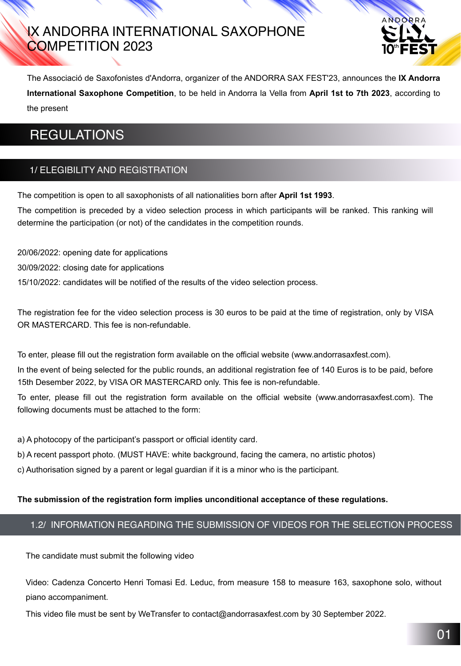# IX ANDORRA INTERNATIONAL SAXOPHONE COMPETITION 2023



The Associació de Saxofonistes d'Andorra, organizer of the ANDORRA SAX FEST'23, announces the **IX Andorra International Saxophone Competition**, to be held in Andorra la Vella from **April 1st to 7th 2023**, according to the present

# REGULATIONS

#### 1/ ELEGIBILITY AND REGISTRATION

The competition is open to all saxophonists of all nationalities born after **April 1st 1993**.

The competition is preceded by a video selection process in which participants will be ranked. This ranking will determine the participation (or not) of the candidates in the competition rounds.

20/06/2022: opening date for applications

30/09/2022: closing date for applications

15/10/2022: candidates will be notified of the results of the video selection process.

The registration fee for the video selection process is 30 euros to be paid at the time of registration, only by VISA OR MASTERCARD. This fee is non-refundable.

To enter, please fill out the registration form available on the official website (www.andorrasaxfest.com).

In the event of being selected for the public rounds, an additional registration fee of 140 Euros is to be paid, before 15th Desember 2022, by VISA OR MASTERCARD only. This fee is non-refundable.

To enter, please fill out the registration form available on the official website (www.andorrasaxfest.com). The following documents must be attached to the form:

a) A photocopy of the participant's passport or official identity card.

b) A recent passport photo. (MUST HAVE: white background, facing the camera, no artistic photos)

c) Authorisation signed by a parent or legal guardian if it is a minor who is the participant.

**The submission of the registration form implies unconditional acceptance of these regulations.**

### 1.2/ INFORMATION REGARDING THE SUBMISSION OF VIDEOS FOR THE SELECTION PROCESS

Video: Cadenza Concerto Henri Tomasi Ed. Leduc, from measure 158 to measure 163, saxophone solo, without piano accompaniment.

This video file must be sent by WeTransfer to contact@andorrasaxfest.com by 30 September 2022.

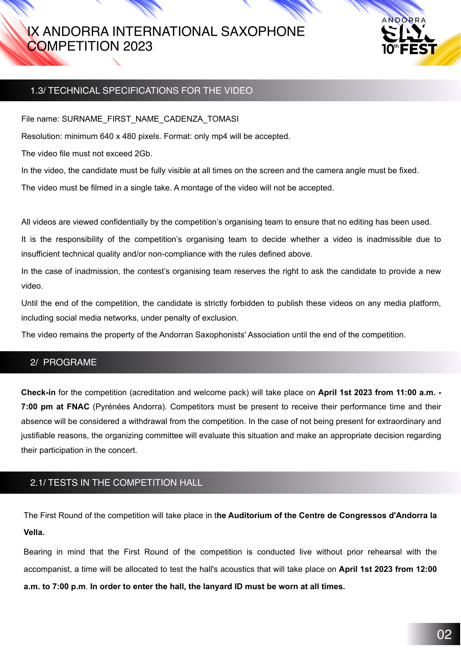# IX ANDORRA INTERNATIONAL SAXOPHONE COMPETITION 2023



#### 1.3/ TECHNICAL SPECIFICATIONS FOR THE VIDEO

File name: SURNAME\_FIRST\_NAME\_CADENZA\_TOMASI

Resolution: minimum 640 x 480 pixels. Format: only mp4 will be accepted.

The video file must not exceed 2Gb.

In the video, the candidate must be fully visible at all times on the screen and the camera angle must be fixed.

The video must be filmed in a single take. A montage of the video will not be accepted.

In the case of inadmission, the contest's organising team reserves the right to ask the candidate to provide a new video.

All videos are viewed confidentially by the competition's organising team to ensure that no editing has been used.

It is the responsibility of the competition's organising team to decide whether a video is inadmissible due to insufficient technical quality and/or non-compliance with the rules defined above.

Until the end of the competition, the candidate is strictly forbidden to publish these videos on any media platform, including social media networks, under penalty of exclusion.

The video remains the property of the Andorran Saxophonists' Association until the end of the competition.

#### 2/ PROGRAME

**Check-in** for the competition (acreditation and welcome pack) will take place on **April 1st 2023 from 11:00 a.m. - 7:00 pm at FNAC** (Pyrénées Andorra). Competitors must be present to receive their performance time and their absence will be considered a withdrawal from the competition. In the case of not being present for extraordinary and justifiable reasons, the organizing committee will evaluate this situation and make an appropriate decision regarding their participation in the concert.

### 2.1/ TESTS IN THE COMPETITION HALL

The First Round of the competition will take place in t**he Auditorium of the Centre de Congressos d'Andorra la** 

#### **Vella.**

Bearing in mind that the First Round of the competition is conducted live without prior rehearsal with the

#### accompanist, a time will be allocated to test the hall's acoustics that will take place on **April 1st 2023 from 12:00**

#### **a.m. to 7:00 p.m**. **In order to enter the hall, the lanyard ID must be worn at all times.**

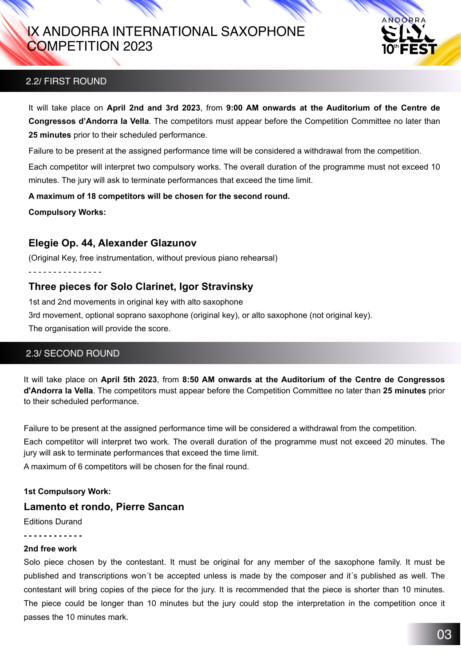## 2.2/ FIRST ROUND

It will take place on **April 2nd and 3rd 2023**, from **9:00 AM onwards at the Auditorium of the Centre de Congressos d'Andorra la Vella**. The competitors must appear before the Competition Committee no later than **25 minutes** prior to their scheduled performance.

Failure to be present at the assigned performance time will be considered a withdrawal from the competition.

Each competitor will interpret two compulsory works. The overall duration of the programme must not exceed 10 minutes. The jury will ask to terminate performances that exceed the time limit.

**A maximum of 18 competitors will be chosen for the second round.**

**Compulsory Works:** 

## **Elegie Op. 44, Alexander Glazunov**

(Original Key, free instrumentation, without previous piano rehearsal)

- - - - - - - - - - - - - - -

## **Three pieces for Solo Clarinet, Igor Stravinsky**

1st and 2nd movements in original key with alto saxophone

3rd movement, optional soprano saxophone (original key), or alto saxophone (not original key).

The organisation will provide the score.



## 2.3/ SECOND ROUND

It will take place on **April 5th 2023**, from **8:50 AM onwards at the Auditorium of the Centre de Congressos d'Andorra la Vella**. The competitors must appear before the Competition Committee no later than **25 minutes** prior to their scheduled performance.

Failure to be present at the assigned performance time will be considered a withdrawal from the competition. Each competitor will interpret two work. The overall duration of the programme must not exceed 20 minutes. The jury will ask to terminate performances that exceed the time limit.

A maximum of 6 competitors will be chosen for the final round.

**1st Compulsory Work:**

## **Lamento et rondo, Pierre Sancan**

Editions Durand

**- - - - - - - - - - - -** 

**2nd free work**

Solo piece chosen by the contestant. It must be original for any member of the saxophone family. It must be published and transcriptions won´t be accepted unless is made by the composer and it´s published as well. The contestant will bring copies of the piece for the jury. It is recommended that the piece is shorter than 10 minutes. The piece could be longer than 10 minutes but the jury could stop the interpretation in the competition once it passes the 10 minutes mark.

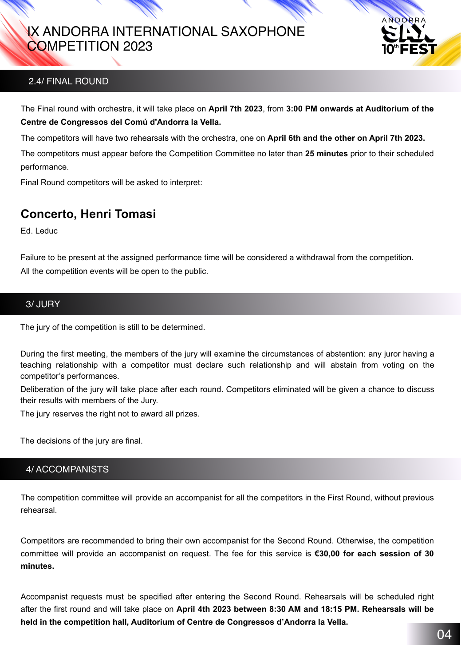## 2.4/ FINAL ROUND

The Final round with orchestra, it will take place on **April 7th 2023**, from **3:00 PM onwards at Auditorium of the Centre de Congressos del Comú d'Andorra la Vella.** 

The competitors will have two rehearsals with the orchestra, one on **April 6th and the other on April 7th 2023.** The competitors must appear before the Competition Committee no later than **25 minutes** prior to their scheduled performance.

Final Round competitors will be asked to interpret:

## **Concerto, Henri Tomasi**

Ed. Leduc

Failure to be present at the assigned performance time will be considered a withdrawal from the competition. All the competition events will be open to the public.



#### 3/ JURY

The jury of the competition is still to be determined.

During the first meeting, the members of the jury will examine the circumstances of abstention: any juror having a teaching relationship with a competitor must declare such relationship and will abstain from voting on the competitor's performances.

Deliberation of the jury will take place after each round. Competitors eliminated will be given a chance to discuss their results with members of the Jury.

The jury reserves the right not to award all prizes.

The decisions of the jury are final.

4/ ACCOMPANISTS

The competition committee will provide an accompanist for all the competitors in the First Round, without previous rehearsal.

Competitors are recommended to bring their own accompanist for the Second Round. Otherwise, the competition

#### committee will provide an accompanist on request. The fee for this service is **€30,00 for each session of 30 minutes.**

Accompanist requests must be specified after entering the Second Round. Rehearsals will be scheduled right after the first round and will take place on **April 4th 2023 between 8:30 AM and 18:15 PM. Rehearsals will be held in the competition hall, Auditorium of Centre de Congressos d'Andorra la Vella.**

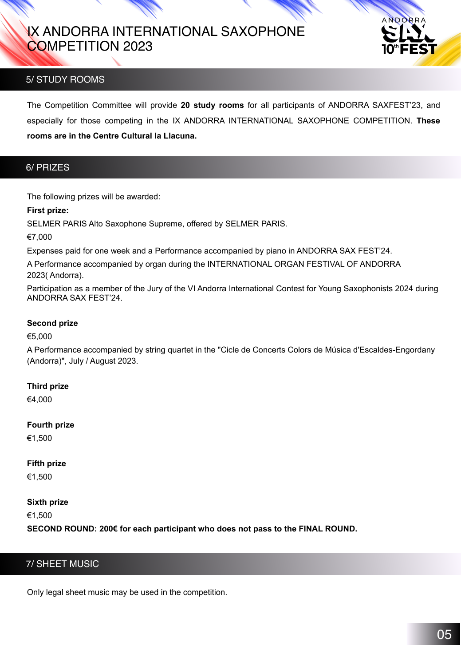## 5/ STUDY ROOMS

The Competition Committee will provide **20 study rooms** for all participants of ANDORRA SAXFEST'23, and especially for those competing in the IX ANDORRA INTERNATIONAL SAXOPHONE COMPETITION. **These rooms are in the Centre Cultural la Llacuna.**





The following prizes will be awarded:

#### **First prize:**

SELMER PARIS Alto Saxophone Supreme, offered by SELMER PARIS.

€7,000

Expenses paid for one week and a Performance accompanied by piano in ANDORRA SAX FEST'24.

A Performance accompanied by organ during the INTERNATIONAL ORGAN FESTIVAL OF ANDORRA 2023( Andorra).

Participation as a member of the Jury of the VI Andorra International Contest for Young Saxophonists 2024 during ANDORRA SAX FEST'24.

#### **Second prize**

€5,000

A Performance accompanied by string quartet in the "Cicle de Concerts Colors de Música d'Escaldes-Engordany (Andorra)", July / August 2023.

#### **Third prize**

#### €4,000

**Fourth prize**

€1,500

### **Fifth prize**

€1,500

#### **Sixth prize**

€1,500

**SECOND ROUND: 200€ for each participant who does not pass to the FINAL ROUND.** 



#### Only legal sheet music may be used in the competition.

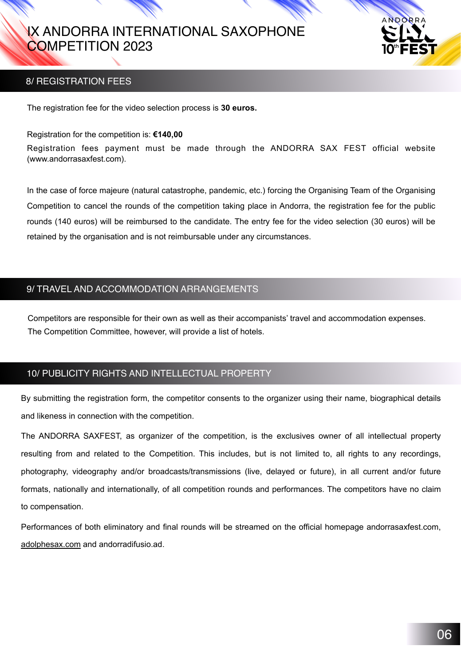The registration fee for the video selection process is **30 euros.**

Registration for the competition is: **€140,00**

Registration fees payment must be made through the ANDORRA SAX FEST official website (www.andorrasaxfest.com).

In the case of force majeure (natural catastrophe, pandemic, etc.) forcing the Organising Team of the Organising

Competition to cancel the rounds of the competition taking place in Andorra, the registration fee for the public

rounds (140 euros) will be reimbursed to the candidate. The entry fee for the video selection (30 euros) will be

retained by the organisation and is not reimbursable under any circumstances.

### 9/ TRAVEL AND ACCOMMODATION ARRANGEMENTS

Competitors are responsible for their own as well as their accompanists' travel and accommodation expenses. The Competition Committee, however, will provide a list of hotels.



By submitting the registration form, the competitor consents to the organizer using their name, biographical details and likeness in connection with the competition.

The ANDORRA SAXFEST, as organizer of the competition, is the exclusives owner of all intellectual property resulting from and related to the Competition. This includes, but is not limited to, all rights to any recordings, photography, videography and/or broadcasts/transmissions (live, delayed or future), in all current and/or future formats, nationally and internationally, of all competition rounds and performances. The competitors have no claim to compensation.

Performances of both eliminatory and final rounds will be streamed on the official homepage andorrasaxfest.com,

[adolphesax.com](http://adolphesax.com) and andorradifusio.ad.

### 8/ REGISTRATION FEES